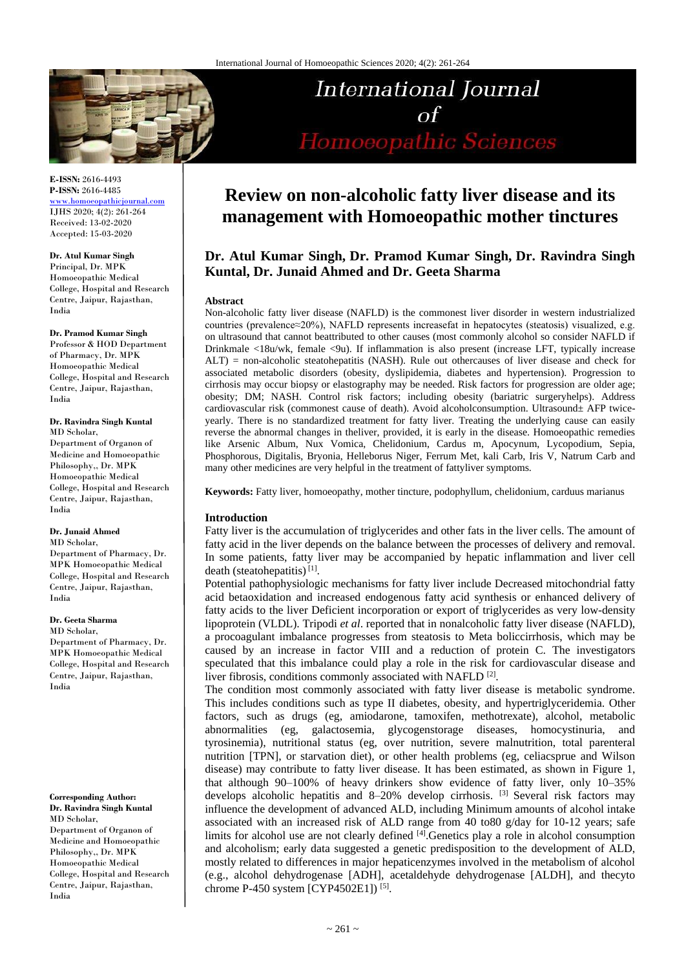

**E-ISSN:** 2616-4493 **P-ISSN:** 2616-4485 [www.homoeopathicjournal.com](file://Server/test/homoeopathicjournal/issue/vol%204/issue%201/www.homoeopathicjournal.com)

IJHS 2020; 4(2): 261-264 Received: 13-02-2020 Accepted: 15-03-2020

**Dr. Atul Kumar Singh** Principal, Dr. MPK Homoeopathic Medical College, Hospital and Research Centre, Jaipur, Rajasthan, India

#### **Dr. Pramod Kumar Singh**

Professor & HOD Department of Pharmacy, Dr. MPK Homoeopathic Medical College, Hospital and Research Centre, Jaipur, Rajasthan, India

#### **Dr. Ravindra Singh Kuntal** MD Scholar,

Department of Organon of Medicine and Homoeopathic Philosophy,, Dr. MPK Homoeopathic Medical College, Hospital and Research Centre, Jaipur, Rajasthan, India

#### **Dr. Junaid Ahmed**

MD Scholar, Department of Pharmacy, Dr. MPK Homoeopathic Medical College, Hospital and Research Centre, Jaipur, Rajasthan, India

#### **Dr. Geeta Sharma**

MD Scholar, Department of Pharmacy, Dr. MPK Homoeopathic Medical College, Hospital and Research Centre, Jaipur, Rajasthan, India

#### **Corresponding Author: Dr. Ravindra Singh Kuntal** MD Scholar,

Department of Organon of Medicine and Homoeopathic Philosophy,, Dr. MPK Homoeopathic Medical College, Hospital and Research Centre, Jaipur, Rajasthan, India

# **Review on non-alcoholic fatty liver disease and its management with Homoeopathic mother tinctures**

International Journal

 $\sigma$ f

Homoeopathic Sciences

## **Dr. Atul Kumar Singh, Dr. Pramod Kumar Singh, Dr. Ravindra Singh Kuntal, Dr. Junaid Ahmed and Dr. Geeta Sharma**

#### **Abstract**

Non-alcoholic fatty liver disease (NAFLD) is the commonest liver disorder in western industrialized countries (prevalence≈20%), NAFLD represents increasefat in hepatocytes (steatosis) visualized, e.g. on ultrasound that cannot beattributed to other causes (most commonly alcohol so consider NAFLD if Drinkmale <18u/wk, female <9u). If inflammation is also present (increase LFT, typically increase ALT) = non-alcoholic steatohepatitis (NASH). Rule out othercauses of liver disease and check for associated metabolic disorders (obesity, dyslipidemia, diabetes and hypertension). Progression to cirrhosis may occur biopsy or elastography may be needed. Risk factors for progression are older age; obesity; DM; NASH. Control risk factors; including obesity (bariatric surgeryhelps). Address cardiovascular risk (commonest cause of death). Avoid alcoholconsumption. Ultrasound± AFP twiceyearly. There is no standardized treatment for fatty liver. Treating the underlying cause can easily reverse the abnormal changes in theliver, provided, it is early in the disease. Homoeopathic remedies like Arsenic Album, Nux Vomica, Chelidonium, Cardus m, Apocynum, Lycopodium, Sepia, Phosphorous, Digitalis, Bryonia, Helleborus Niger, Ferrum Met, kali Carb, Iris V, Natrum Carb and many other medicines are very helpful in the treatment of fattyliver symptoms.

**Keywords:** Fatty liver, homoeopathy, mother tincture, podophyllum, chelidonium, carduus marianus

## **Introduction**

Fatty liver is the accumulation of triglycerides and other fats in the liver cells. The amount of fatty acid in the liver depends on the balance between the processes of delivery and removal. In some patients, fatty liver may be accompanied by hepatic inflammation and liver cell death (steatohepatitis)<sup>[1]</sup>.

Potential pathophysiologic mechanisms for fatty liver include Decreased mitochondrial fatty acid betaoxidation and increased endogenous fatty acid synthesis or enhanced delivery of fatty acids to the liver Deficient incorporation or export of triglycerides as very low-density lipoprotein (VLDL). Tripodi *et al*. reported that in nonalcoholic fatty liver disease (NAFLD), a procoagulant imbalance progresses from steatosis to Meta boliccirrhosis, which may be caused by an increase in factor VIII and a reduction of protein C. The investigators speculated that this imbalance could play a role in the risk for cardiovascular disease and liver fibrosis, conditions commonly associated with NAFLD<sup>[2]</sup>.

The condition most commonly associated with fatty liver disease is metabolic syndrome. This includes conditions such as type II diabetes, obesity, and hypertriglyceridemia. Other factors, such as drugs (eg, amiodarone, tamoxifen, methotrexate), alcohol, metabolic abnormalities (eg, galactosemia, glycogenstorage diseases, homocystinuria, and tyrosinemia), nutritional status (eg, over nutrition, severe malnutrition, total parenteral nutrition [TPN], or starvation diet), or other health problems (eg, celiacsprue and Wilson disease) may contribute to fatty liver disease. It has been estimated, as shown in Figure 1, that although 90–100% of heavy drinkers show evidence of fatty liver, only 10–35% develops alcoholic hepatitis and 8-20% develop cirrhosis. <sup>[3]</sup> Several risk factors may influence the development of advanced ALD, including Minimum amounts of alcohol intake associated with an increased risk of ALD range from 40 to80 g/day for 10-12 years; safe limits for alcohol use are not clearly defined  $[4]$ . Genetics play a role in alcohol consumption and alcoholism; early data suggested a genetic predisposition to the development of ALD, mostly related to differences in major hepaticenzymes involved in the metabolism of alcohol (e.g., alcohol dehydrogenase [ADH], acetaldehyde dehydrogenase [ALDH], and thecyto chrome P-450 system [CYP4502E1])<sup>[5]</sup>.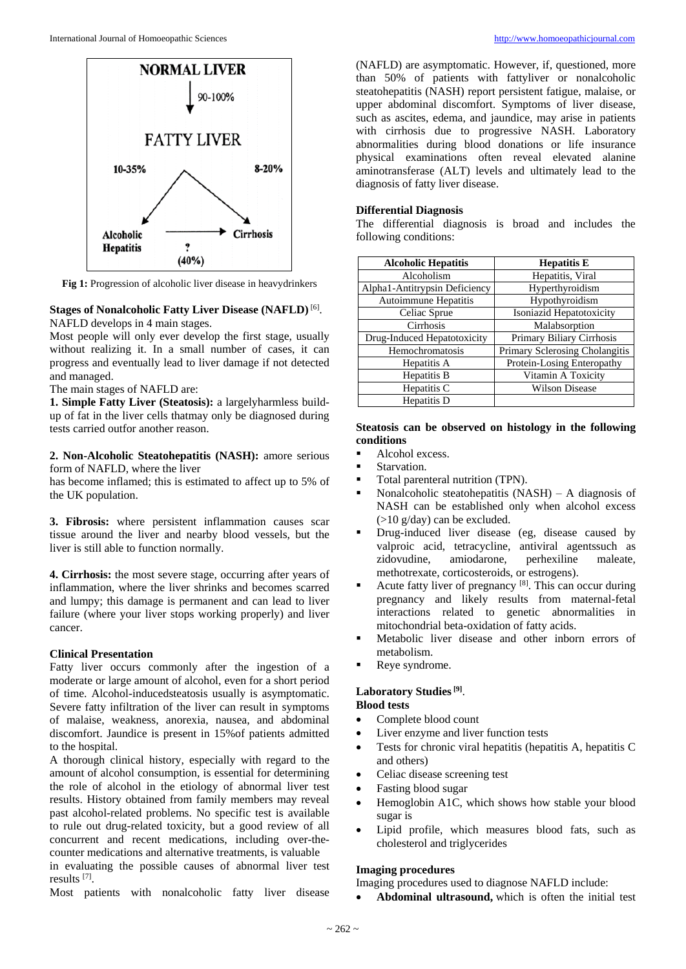

**Fig 1:** Progression of alcoholic liver disease in heavydrinkers

#### **Stages of Nonalcoholic Fatty Liver Disease (NAFLD)** [6] .

NAFLD develops in 4 main stages.

Most people will only ever develop the first stage, usually without realizing it. In a small number of cases, it can progress and eventually lead to liver damage if not detected and managed.

The main stages of NAFLD are:

**1. Simple Fatty Liver (Steatosis):** a largelyharmless buildup of fat in the liver cells thatmay only be diagnosed during tests carried outfor another reason.

**2. Non-Alcoholic Steatohepatitis (NASH):** amore serious form of NAFLD, where the liver

has become inflamed; this is estimated to affect up to 5% of the UK population.

**3. Fibrosis:** where persistent inflammation causes scar tissue around the liver and nearby blood vessels, but the liver is still able to function normally.

**4. Cirrhosis:** the most severe stage, occurring after years of inflammation, where the liver shrinks and becomes scarred and lumpy; this damage is permanent and can lead to liver failure (where your liver stops working properly) and liver cancer.

#### **Clinical Presentation**

Fatty liver occurs commonly after the ingestion of a moderate or large amount of alcohol, even for a short period of time. Alcohol-inducedsteatosis usually is asymptomatic. Severe fatty infiltration of the liver can result in symptoms of malaise, weakness, anorexia, nausea, and abdominal discomfort. Jaundice is present in 15%of patients admitted to the hospital.

A thorough clinical history, especially with regard to the amount of alcohol consumption, is essential for determining the role of alcohol in the etiology of abnormal liver test results. History obtained from family members may reveal past alcohol-related problems. No specific test is available to rule out drug-related toxicity, but a good review of all concurrent and recent medications, including over-thecounter medications and alternative treatments, is valuable in evaluating the possible causes of abnormal liver test

results [7] .

Most patients with nonalcoholic fatty liver disease

(NAFLD) are asymptomatic. However, if, questioned, more than 50% of patients with fattyliver or nonalcoholic steatohepatitis (NASH) report persistent fatigue, malaise, or upper abdominal discomfort. Symptoms of liver disease, such as ascites, edema, and jaundice, may arise in patients with cirrhosis due to progressive NASH. Laboratory abnormalities during blood donations or life insurance physical examinations often reveal elevated alanine aminotransferase (ALT) levels and ultimately lead to the diagnosis of fatty liver disease.

#### **Differential Diagnosis**

The differential diagnosis is broad and includes the following conditions:

| <b>Alcoholic Hepatitis</b>    | <b>Hepatitis E</b>             |
|-------------------------------|--------------------------------|
| Alcoholism                    | Hepatitis, Viral               |
| Alpha1-Antitrypsin Deficiency | Hyperthyroidism                |
| Autoimmune Hepatitis          | Hypothyroidism                 |
| Celiac Sprue                  | Isoniazid Hepatotoxicity       |
| Cirrhosis                     | Malabsorption                  |
| Drug-Induced Hepatotoxicity   | Primary Biliary Cirrhosis      |
| Hemochromatosis               | Primary Sclerosing Cholangitis |
| Hepatitis A                   | Protein-Losing Enteropathy     |
| Hepatitis B                   | Vitamin A Toxicity             |
| Hepatitis C                   | <b>Wilson Disease</b>          |
| Hepatitis D                   |                                |

#### **Steatosis can be observed on histology in the following conditions**

- Alcohol excess.
- **Starvation**
- Total parenteral nutrition (TPN).
- Nonalcoholic steatohepatitis  $(NASH) A$  diagnosis of NASH can be established only when alcohol excess (>10 g/day) can be excluded.
- Drug-induced liver disease (eg, disease caused by valproic acid, tetracycline, antiviral agentssuch as zidovudine, amiodarone, perhexiline maleate, methotrexate, corticosteroids, or estrogens).
- Acute fatty liver of pregnancy  $[8]$ . This can occur during pregnancy and likely results from maternal-fetal interactions related to genetic abnormalities in mitochondrial beta-oxidation of fatty acids.
- Metabolic liver disease and other inborn errors of metabolism.
- Reye syndrome.

# **Laboratory Studies[9]** .

# **Blood tests**

- Complete blood count
- Liver enzyme and liver function tests
- Tests for chronic viral hepatitis (hepatitis A, hepatitis C and others)
- Celiac disease screening test
- Fasting blood sugar
- Hemoglobin A1C, which shows how stable your blood sugar is
- Lipid profile, which measures blood fats, such as cholesterol and triglycerides

## **Imaging procedures**

Imaging procedures used to diagnose NAFLD include:

**Abdominal ultrasound,** which is often the initial test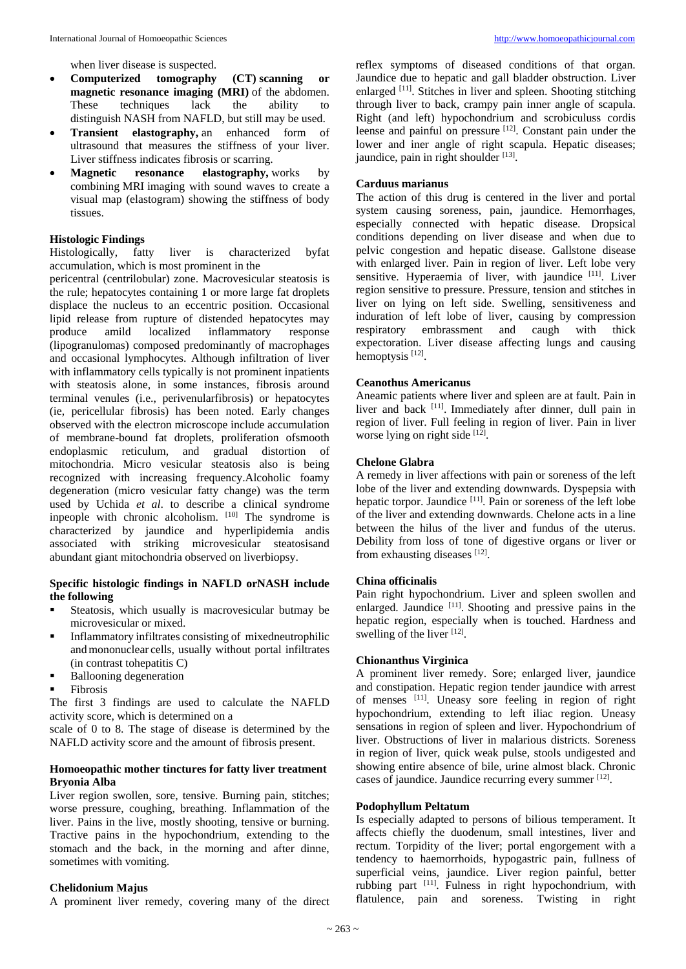when liver disease is suspected.

- **Computerized tomography (CT) scanning or magnetic resonance imaging (MRI)** of the abdomen. These techniques lack the ability to distinguish NASH from NAFLD, but still may be used.
- **Transient elastography,** an enhanced form of ultrasound that measures the stiffness of your liver. Liver stiffness indicates fibrosis or scarring.
- **Magnetic resonance elastography,** works by combining MRI imaging with sound waves to create a visual map (elastogram) showing the stiffness of body tissues.

#### **Histologic Findings**

Histologically, fatty liver is characterized byfat accumulation, which is most prominent in the

pericentral (centrilobular) zone. Macrovesicular steatosis is the rule; hepatocytes containing 1 or more large fat droplets displace the nucleus to an eccentric position. Occasional lipid release from rupture of distended hepatocytes may produce amild localized inflammatory response (lipogranulomas) composed predominantly of macrophages and occasional lymphocytes. Although infiltration of liver with inflammatory cells typically is not prominent inpatients with steatosis alone, in some instances, fibrosis around terminal venules (i.e., perivenularfibrosis) or hepatocytes (ie, pericellular fibrosis) has been noted. Early changes observed with the electron microscope include accumulation of membrane-bound fat droplets, proliferation ofsmooth endoplasmic reticulum, and gradual distortion of mitochondria. Micro vesicular steatosis also is being recognized with increasing frequency.Alcoholic foamy degeneration (micro vesicular fatty change) was the term used by Uchida *et al*. to describe a clinical syndrome inpeople with chronic alcoholism. [10] The syndrome is characterized by jaundice and hyperlipidemia andis associated with striking microvesicular steatosisand abundant giant mitochondria observed on liverbiopsy.

#### **Specific histologic findings in NAFLD orNASH include the following**

- Steatosis, which usually is macrovesicular butmay be microvesicular or mixed.
- Inflammatory infiltrates consisting of mixedneutrophilic and mononuclear cells, usually without portal infiltrates (in contrast tohepatitis C)
- Ballooning degeneration
- Fibrosis

The first 3 findings are used to calculate the NAFLD activity score, which is determined on a

scale of 0 to 8. The stage of disease is determined by the NAFLD activity score and the amount of fibrosis present.

#### **Homoeopathic mother tinctures for fatty liver treatment Bryonia Alba**

Liver region swollen, sore, tensive. Burning pain, stitches; worse pressure, coughing, breathing. Inflammation of the liver. Pains in the live, mostly shooting, tensive or burning. Tractive pains in the hypochondrium, extending to the stomach and the back, in the morning and after dinne, sometimes with vomiting.

## **Chelidonium Majus**

A prominent liver remedy, covering many of the direct

reflex symptoms of diseased conditions of that organ. Jaundice due to hepatic and gall bladder obstruction. Liver enlarged <sup>[11]</sup>. Stitches in liver and spleen. Shooting stitching through liver to back, crampy pain inner angle of scapula. Right (and left) hypochondrium and scrobiculuss cordis leense and painful on pressure [12]. Constant pain under the lower and iner angle of right scapula. Hepatic diseases; jaundice, pain in right shoulder [13].

#### **Carduus marianus**

The action of this drug is centered in the liver and portal system causing soreness, pain, jaundice. Hemorrhages, especially connected with hepatic disease. Dropsical conditions depending on liver disease and when due to pelvic congestion and hepatic disease. Gallstone disease with enlarged liver. Pain in region of liver. Left lobe very sensitive. Hyperaemia of liver, with jaundice [11]. Liver region sensitive to pressure. Pressure, tension and stitches in liver on lying on left side. Swelling, sensitiveness and induration of left lobe of liver, causing by compression respiratory embrassment and caugh with thick expectoration. Liver disease affecting lungs and causing hemoptysis<sup>[12]</sup>.

#### **Ceanothus Americanus**

Aneamic patients where liver and spleen are at fault. Pain in liver and back [11]. Immediately after dinner, dull pain in region of liver. Full feeling in region of liver. Pain in liver worse lying on right side [12].

#### **Chelone Glabra**

A remedy in liver affections with pain or soreness of the left lobe of the liver and extending downwards. Dyspepsia with hepatic torpor. Jaundice [11]. Pain or soreness of the left lobe of the liver and extending downwards. Chelone acts in a line between the hilus of the liver and fundus of the uterus. Debility from loss of tone of digestive organs or liver or from exhausting diseases [12].

#### **China officinalis**

Pain right hypochondrium. Liver and spleen swollen and enlarged. Jaundice <sup>[11]</sup>. Shooting and pressive pains in the hepatic region, especially when is touched. Hardness and swelling of the liver [12].

#### **Chionanthus Virginica**

A prominent liver remedy. Sore; enlarged liver, jaundice and constipation. Hepatic region tender jaundice with arrest of menses [11] . Uneasy sore feeling in region of right hypochondrium, extending to left iliac region. Uneasy sensations in region of spleen and liver. Hypochondrium of liver. Obstructions of liver in malarious districts. Soreness in region of liver, quick weak pulse, stools undigested and showing entire absence of bile, urine almost black. Chronic cases of jaundice. Jaundice recurring every summer [12].

#### **Podophyllum Peltatum**

Is especially adapted to persons of bilious temperament. It affects chiefly the duodenum, small intestines, liver and rectum. Torpidity of the liver; portal engorgement with a tendency to haemorrhoids, hypogastric pain, fullness of superficial veins, jaundice. Liver region painful, better rubbing part  $[11]$ . Fulness in right hypochondrium, with flatulence, pain and soreness. Twisting in right